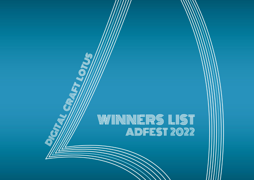# W/WINNERS LIST ADFEST 2022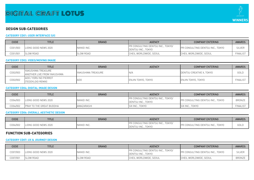

# **DESIGN SUB-CATEGORIES**

## **CATEGORY CD01: USER INTERFACE (UI)**

| CODE     | <b>TITLE</b>         | <b>BRAND</b>     | AGENCY                                                  | <b>COMPANY ENTERING</b>                 | <b>AWARDS</b>   |
|----------|----------------------|------------------|---------------------------------------------------------|-----------------------------------------|-----------------|
| CD01/003 | LIONS GOOD NEWS 2020 | NIKKEI INC.      | PR CONSULTING DENTSU INC., TOKYO/<br>DENTSU INC., TOKYO | <b>PR CONSULTING DENTSU INC., TOKYO</b> | <b>SILVER</b>   |
| CD01/001 | <b>SLOW ROAD</b>     | <b>SLOW ROAD</b> | CHEIL WORLDWIDE, SEOUL                                  | CHEIL WORLDWIDE, SEOUL                  | <b>FINALIST</b> |

#### **CATEGORY CD02: VIDEO/MOVING IMAGE**

| CODE     | <b>TITLE</b>                                      | <b>BRAND</b>       | <b>AGENCY</b>             | <b>COMPANY ENTERING</b>          | <b>AWARDS</b>   |
|----------|---------------------------------------------------|--------------------|---------------------------|----------------------------------|-----------------|
| CD02/003 | YAKUSHIMA TREASURE<br>ANOTHER LIVE FROM YAKUSHIMA | YAKUSHIMA TREASURE | N/4                       | <b>IDENTSU CREATIVE X, TOKYO</b> | GOLD            |
| CD02/002 | ADO / YORU NO PIERROT<br><b>ITEDDYLOID REMIX)</b> | <b>ADC</b>         | <b>ENJIN TOKYO, TOKYO</b> | ENJIN TOKYO, TOKYO               | <b>FINALIST</b> |

#### **CATEGORY CD04: DIGITAL IMAGE DESIGN**

| CODE     | TITLE                           | <b>BRAND</b> | <b>AGENCY</b>                                           | <b>COMPANY ENTERING</b>           | <b>AWARDS</b>   |
|----------|---------------------------------|--------------|---------------------------------------------------------|-----------------------------------|-----------------|
| CD04/003 | <b>I</b> LIONS GOOD NEWS 2020   | NIKKEI INC.  | PR CONSULTING DENTSU INC., TOKYO/<br>DENTSU INC., TOKYO | IPR CONSULTING DENTSU INC., TOKYO | <b>BRONZE</b>   |
| CD04/002 | <b>PRAY TO THE GREAT BUDDHA</b> | AMAZARASHI   | SIX INC., TOKYO                                         | SIX INC., TOKYO                   | <b>FINALIST</b> |

## **CATEGORY CD06: OVERALL AESTHETIC DESIGN**

| CODE     | <b>TITLE</b>                | <b>BRAND</b> | <b>AGENCY</b>                                                               | <b>COMPANY ENTERING</b>                 | <b>AWARDS</b> |
|----------|-----------------------------|--------------|-----------------------------------------------------------------------------|-----------------------------------------|---------------|
| CD06/002 | INS GOOD NEWS 2020<br>LIONS | NIKKEI INC.  | TOKYO/<br>: CONSULTING DENTSU INC., "<br>DD<br><b>TOKYO</b><br>DENTSU INC., | <b>TOKYO</b><br>: CONSULTING DENTSU INC | GOLD          |

# **FUNCTION SUB-CATEGORIES**

## **CATEGORY CD07: UX & JOURNEY DESIGN**

| CODE     | TITLE                         | <b>BRAND</b>     | <b>AGENCY</b>                                                  | <b>COMPANY ENTERING</b>           | <b>AWARDS</b> |
|----------|-------------------------------|------------------|----------------------------------------------------------------|-----------------------------------|---------------|
| CD07/003 | <b>I</b> LIONS GOOD NEWS 2020 | NIKKEI INC.      | <b>PR CONSULTING DENTSU INC., TOKYO/</b><br>DENTSU INC., TOKYO | IPR CONSULTING DENTSU INC., TOKYO | <b>SILVER</b> |
| CD07/001 | <b>SLOW ROAD</b>              | <b>SLOW ROAD</b> | CHEIL WORLDWIDE, SEOUL                                         | CHEIL WORLDWIDE, SEOUL            | <b>BRONZE</b> |